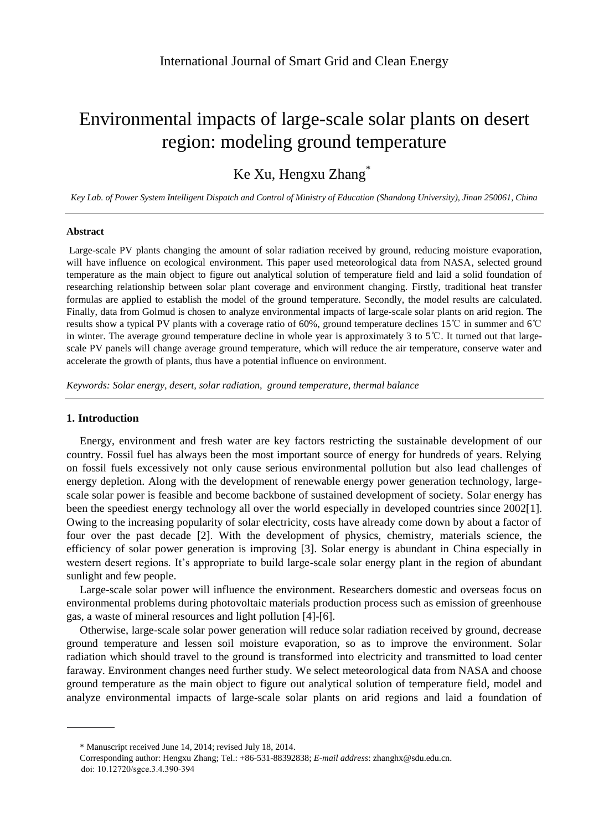# Environmental impacts of large-scale solar plants on desert region: modeling ground temperature

# Ke Xu, Hengxu Zhang<sup>\*</sup>

*Key Lab. of Power System Intelligent Dispatch and Control of Ministry of Education (Shandong University), Jinan 250061, China*

#### **Abstract**

Large-scale PV plants changing the amount of solar radiation received by ground, reducing moisture evaporation, will have influence on ecological environment. This paper used meteorological data from NASA, selected ground temperature as the main object to figure out analytical solution of temperature field and laid a solid foundation of researching relationship between solar plant coverage and environment changing. Firstly, traditional heat transfer formulas are applied to establish the model of the ground temperature. Secondly, the model results are calculated. Finally, data from Golmud is chosen to analyze environmental impacts of large-scale solar plants on arid region. The results show a typical PV plants with a coverage ratio of 60%, ground temperature declines 15℃ in summer and 6℃ in winter. The average ground temperature decline in whole year is approximately 3 to 5℃. It turned out that largescale PV panels will change average ground temperature, which will reduce the air temperature, conserve water and accelerate the growth of plants, thus have a potential influence on environment.

*Keywords: Solar energy, desert, solar radiation, ground temperature, thermal balance*

# **1. Introduction**

Energy, environment and fresh water are key factors restricting the sustainable development of our country. Fossil fuel has always been the most important source of energy for hundreds of years. Relying on fossil fuels excessively not only cause serious environmental pollution but also lead challenges of energy depletion. Along with the development of renewable energy power generation technology, largescale solar power is feasible and become backbone of sustained development of society. Solar energy has been the speediest energy technology all over the world especially in developed countries since 2002[1]. Owing to the increasing popularity of solar electricity, costs have already come down by about a factor of four over the past decade [2]. With the development of physics, chemistry, materials science, the efficiency of solar power generation is improving [3]. Solar energy is abundant in China especially in western desert regions. It's appropriate to build large-scale solar energy plant in the region of abundant sunlight and few people.

Large-scale solar power will influence the environment. Researchers domestic and overseas focus on environmental problems during photovoltaic materials production process such as emission of greenhouse gas, a waste of mineral resources and light pollution [4]-[6].

Otherwise, large-scale solar power generation will reduce solar radiation received by ground, decrease ground temperature and lessen soil moisture evaporation, so as to improve the environment. Solar radiation which should travel to the ground is transformed into electricity and transmitted to load center faraway. Environment changes need further study. We select meteorological data from NASA and choose ground temperature as the main object to figure out analytical solution of temperature field, model and analyze environmental impacts of large-scale solar plants on arid regions and laid a foundation of

<sup>\*</sup> Manuscript received June 14, 2014; revised July 18, 2014.

Corresponding author: Hengxu Zhang; Tel.: +86-531-88392838; *E-mail address*: zhanghx@sdu.edu.cn. doi: 10.12720/sgce.3.4.390-394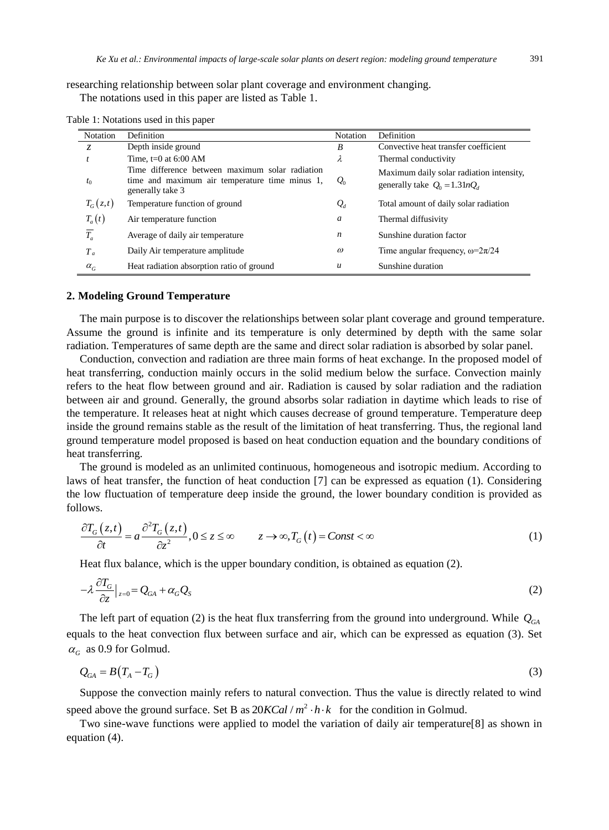researching relationship between solar plant coverage and environment changing. The notations used in this paper are listed as Table 1.

| Notation         | Definition                                                                                                            | <b>Notation</b> | Definition                                                                  |
|------------------|-----------------------------------------------------------------------------------------------------------------------|-----------------|-----------------------------------------------------------------------------|
| Z.               | Depth inside ground                                                                                                   | B               | Convective heat transfer coefficient                                        |
|                  | Time, $t=0$ at 6:00 AM                                                                                                | λ               | Thermal conductivity                                                        |
| t <sub>0</sub>   | Time difference between maximum solar radiation<br>time and maximum air temperature time minus 1,<br>generally take 3 | $Q_0$           | Maximum daily solar radiation intensity,<br>generally take $Q_0 = 1.31nQ_d$ |
| $T_G(z,t)$       | Temperature function of ground                                                                                        | $\mathcal{Q}_d$ | Total amount of daily solar radiation                                       |
| $T_a(t)$         | Air temperature function                                                                                              | a               | Thermal diffusivity                                                         |
| $\overline{T_a}$ | Average of daily air temperature                                                                                      | n               | Sunshine duration factor                                                    |
| $T_a$            | Daily Air temperature amplitude                                                                                       | $\omega$        | Time angular frequency, $\omega = 2\pi/24$                                  |
| $\alpha_G$       | Heat radiation absorption ratio of ground                                                                             | $\mathcal{U}$   | Sunshine duration                                                           |

Table 1: Notations used in this paper

#### **2. Modeling Ground Temperature**

The main purpose is to discover the relationships between solar plant coverage and ground temperature. Assume the ground is infinite and its temperature is only determined by depth with the same solar radiation. Temperatures of same depth are the same and direct solar radiation is absorbed by solar panel.

Conduction, convection and radiation are three main forms of heat exchange. In the proposed model of heat transferring, conduction mainly occurs in the solid medium below the surface. Convection mainly refers to the heat flow between ground and air. Radiation is caused by solar radiation and the radiation between air and ground. Generally, the ground absorbs solar radiation in daytime which leads to rise of the temperature. It releases heat at night which causes decrease of ground temperature. Temperature deep inside the ground remains stable as the result of the limitation of heat transferring. Thus, the regional land ground temperature model proposed is based on heat conduction equation and the boundary conditions of heat transferring.

The ground is modeled as an unlimited continuous, homogeneous and isotropic medium. According to laws of heat transfer, the function of heat conduction [7] can be expressed as equation (1). Considering the low fluctuation of temperature deep inside the ground, the lower boundary condition is provided as follows.

$$
\frac{\partial T_G(z,t)}{\partial t} = a \frac{\partial^2 T_G(z,t)}{\partial z^2}, 0 \le z \le \infty \qquad z \to \infty, T_G(t) = Const < \infty \tag{1}
$$

Heat flux balance, which is the upper boundary condition, is obtained as equation (2).

$$
-\lambda \frac{\partial T_G}{\partial z}\big|_{z=0} = Q_{GA} + \alpha_G Q_S \tag{2}
$$

The left part of equation (2) is the heat flux transferring from the ground into underground. While  $Q_{Ga}$ equals to the heat convection flux between surface and air, which can be expressed as equation (3). Set  $\alpha$ <sup>G</sup> as 0.9 for Golmud.

$$
Q_{GA} = B\left(T_A - T_G\right) \tag{3}
$$

Suppose the convection mainly refers to natural convection. Thus the value is directly related to wind speed above the ground surface. Set B as  $20KCal/m^2 \cdot h \cdot k$  for the condition in Golmud.

Two sine-wave functions were applied to model the variation of daily air temperature[8] as shown in equation (4).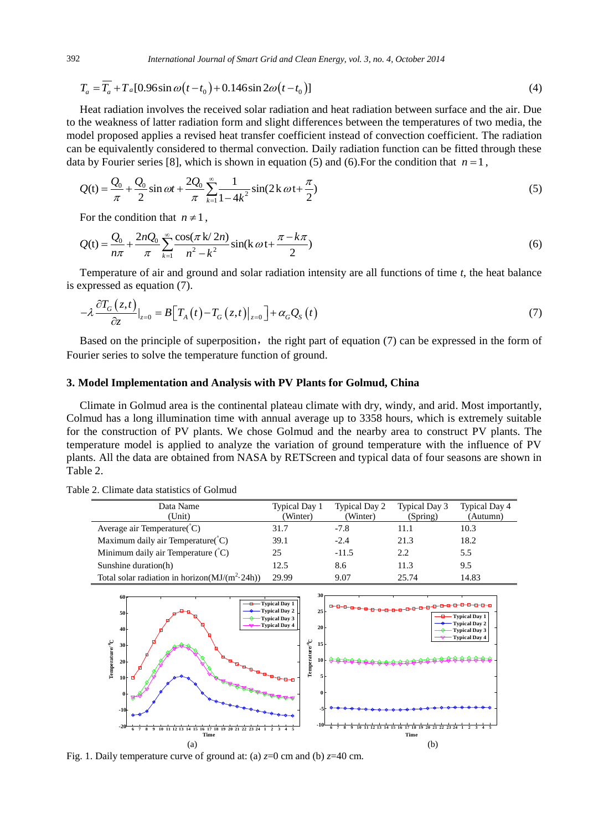392 *International Journal of Smart Grid and Clean Energy, vol. 3, no. 4, October 2014*

$$
T_a = \overline{T}_a + T_a[0.96\sin\omega(t - t_0) + 0.146\sin 2\omega(t - t_0)]
$$
\n(4)

Heat radiation involves the received solar radiation and heat radiation between surface and the air. Due to the weakness of latter radiation form and slight differences between the temperatures of two media, the model proposed applies a revised heat transfer coefficient instead of convection coefficient. The radiation can be equivalently considered to thermal convection. Daily radiation function can be fitted through these data by Fourier series [8], which is shown in equation (5) and (6). For the condition that  $n=1$ ,

$$
Q(t) = \frac{Q_0}{\pi} + \frac{Q_0}{2}\sin \omega t + \frac{2Q_0}{\pi} \sum_{k=1}^{\infty} \frac{1}{1 - 4k^2} \sin(2k \omega t + \frac{\pi}{2})
$$
(5)

For the condition that  $n \neq 1$ ,

$$
Q(t) = \frac{Q_0}{n\pi} + \frac{2nQ_0}{\pi} \sum_{k=1}^{\infty} \frac{\cos(\pi k/2n)}{n^2 - k^2} \sin(k \omega t + \frac{\pi - k\pi}{2})
$$
(6)

Temperature of air and ground and solar radiation intensity are all functions of time *t*, the heat balance is expressed as equation (7).

$$
-\lambda \frac{\partial T_G(z,t)}{\partial z}\big|_{z=0} = B\big[T_A(t) - T_G(z,t)\big|_{z=0}\big] + \alpha_G Q_S(t) \tag{7}
$$

Based on the principle of superposition, the right part of equation  $(7)$  can be expressed in the form of Fourier series to solve the temperature function of ground.

# **3. Model Implementation and Analysis with PV Plants for Golmud, China**

Climate in Golmud area is the continental plateau climate with dry, windy, and arid. Most importantly, Colmud has a long illumination time with annual average up to 3358 hours, which is extremely suitable for the construction of PV plants. We chose Golmud and the nearby area to construct PV plants. The temperature model is applied to analyze the variation of ground temperature with the influence of PV plants. All the data are obtained from NASA by RETScreen and typical data of four seasons are shown in Table 2.

| Data Name<br>(Unit)                                | Typical Day 1<br>(Winter) | <b>Typical Day 2</b><br>(Winter) | Typical Day 3<br>(Spring) | <b>Typical Day 4</b><br>(Autumn) |
|----------------------------------------------------|---------------------------|----------------------------------|---------------------------|----------------------------------|
| Average air Temperature $(C)$                      | 31.7                      | $-7.8$                           | 11.1                      | 10.3                             |
| Maximum daily air Temperature $(C)$                | 39.1                      | $-2.4$                           | 21.3                      | 18.2                             |
| Minimum daily air Temperature $(C)$                | 25                        | $-11.5$                          | 2.2                       | 5.5                              |
| Sunshine duration(h)                               | 12.5                      | 8.6                              | 11.3                      | 9.5                              |
| Total solar radiation in horizon( $MJ/(m^2 24h)$ ) | 29.99                     | 9.07                             | 25.74                     | 14.83                            |

Table 2. Climate data statistics of Golmud



Fig. 1. Daily temperature curve of ground at: (a)  $z=0$  cm and (b)  $z=40$  cm.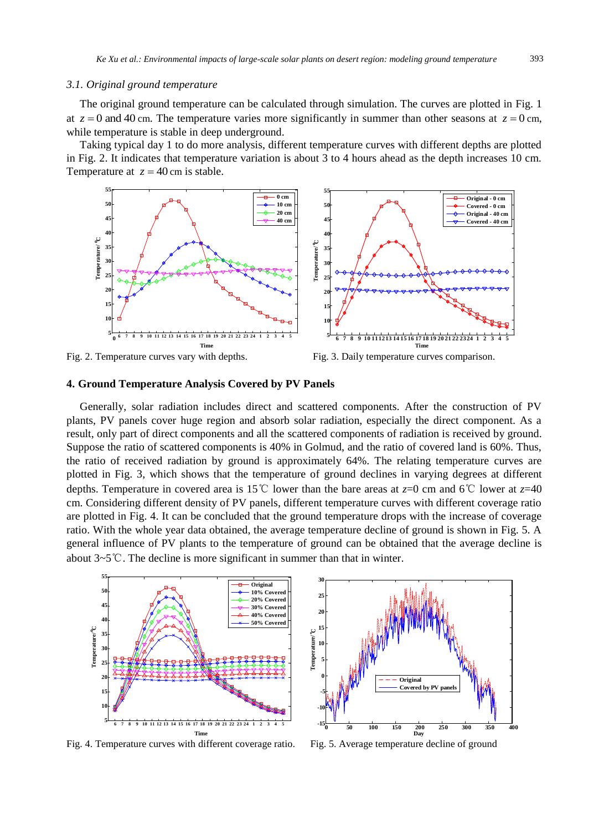#### *3.1. Original ground temperature*

The original ground temperature can be calculated through simulation. The curves are plotted in Fig. 1 at  $z = 0$  and 40 cm. The temperature varies more significantly in summer than other seasons at  $z = 0$  cm, while temperature is stable in deep underground.

Taking typical day 1 to do more analysis, different temperature curves with different depths are plotted in Fig. 2. It indicates that temperature variation is about 3 to 4 hours ahead as the depth increases 10 cm. Temperature at  $z = 40$  cm is stable.



Fig. 2. Temperature curves vary with depths. Fig. 3. Daily temperature curves comparison.

# **4. Ground Temperature Analysis Covered by PV Panels**

Generally, solar radiation includes direct and scattered components. After the construction of PV plants, PV panels cover huge region and absorb solar radiation, especially the direct component. As a result, only part of direct components and all the scattered components of radiation is received by ground. Suppose the ratio of scattered components is 40% in Golmud, and the ratio of covered land is 60%. Thus, the ratio of received radiation by ground is approximately 64%. The relating temperature curves are plotted in Fig. 3, which shows that the temperature of ground declines in varying degrees at different depths. Temperature in covered area is 15℃ lower than the bare areas at *z*=0 cm and 6℃ lower at *z*=40 cm. Considering different density of PV panels, different temperature curves with different coverage ratio are plotted in Fig. 4. It can be concluded that the ground temperature drops with the increase of coverage ratio. With the whole year data obtained, the average temperature decline of ground is shown in Fig. 5. A general influence of PV plants to the temperature of ground can be obtained that the average decline is about 3~5℃. The decline is more significant in summer than that in winter.



**<sup>0</sup> <sup>50</sup> <sup>100</sup> <sup>150</sup> <sup>200</sup> <sup>250</sup> <sup>300</sup> <sup>350</sup> <sup>400</sup> -15 -10 -5 0 5 10 15 20 25 30 Day Temperature/** emperature/<sup>°</sup>C **Original Covered by** 

Fig. 4. Temperature curves with different coverage ratio. Fig. 5. Average temperature decline of ground